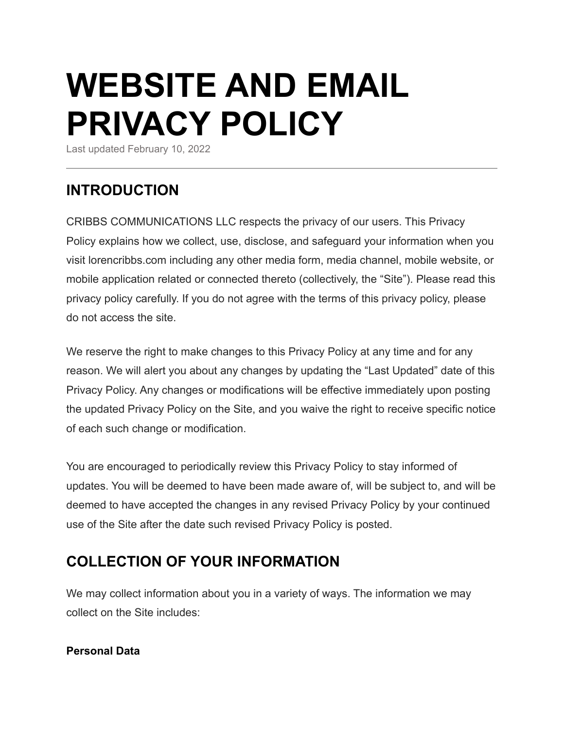# **WEBSITE AND EMAIL PRIVACY POLICY**

Last updated February 10, 2022

## **INTRODUCTION**

CRIBBS COMMUNICATIONS LLC respects the privacy of our users. This Privacy Policy explains how we collect, use, disclose, and safeguard your information when you visit lorencribbs.com including any other media form, media channel, mobile website, or mobile application related or connected thereto (collectively, the "Site"). Please read this privacy policy carefully. If you do not agree with the terms of this privacy policy, please do not access the site.

We reserve the right to make changes to this Privacy Policy at any time and for any reason. We will alert you about any changes by updating the "Last Updated" date of this Privacy Policy. Any changes or modifications will be effective immediately upon posting the updated Privacy Policy on the Site, and you waive the right to receive specific notice of each such change or modification.

You are encouraged to periodically review this Privacy Policy to stay informed of updates. You will be deemed to have been made aware of, will be subject to, and will be deemed to have accepted the changes in any revised Privacy Policy by your continued use of the Site after the date such revised Privacy Policy is posted.

## **COLLECTION OF YOUR INFORMATION**

We may collect information about you in a variety of ways. The information we may collect on the Site includes:

#### **Personal Data**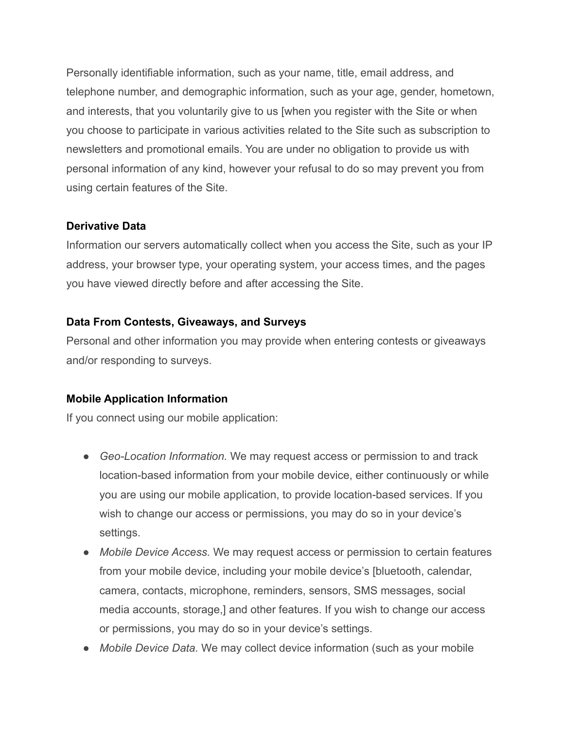Personally identifiable information, such as your name, title, email address, and telephone number, and demographic information, such as your age, gender, hometown, and interests, that you voluntarily give to us [when you register with the Site or when you choose to participate in various activities related to the Site such as subscription to newsletters and promotional emails. You are under no obligation to provide us with personal information of any kind, however your refusal to do so may prevent you from using certain features of the Site.

#### **Derivative Data**

Information our servers automatically collect when you access the Site, such as your IP address, your browser type, your operating system, your access times, and the pages you have viewed directly before and after accessing the Site.

#### **Data From Contests, Giveaways, and Surveys**

Personal and other information you may provide when entering contests or giveaways and/or responding to surveys.

#### **Mobile Application Information**

If you connect using our mobile application:

- *Geo-Location Information.* We may request access or permission to and track location-based information from your mobile device, either continuously or while you are using our mobile application, to provide location-based services. If you wish to change our access or permissions, you may do so in your device's settings.
- **●** *Mobile Device Access.* We may request access or permission to certain features from your mobile device, including your mobile device's [bluetooth, calendar, camera, contacts, microphone, reminders, sensors, SMS messages, social media accounts, storage,] and other features. If you wish to change our access or permissions, you may do so in your device's settings.
- *Mobile Device Data.* We may collect device information (such as your mobile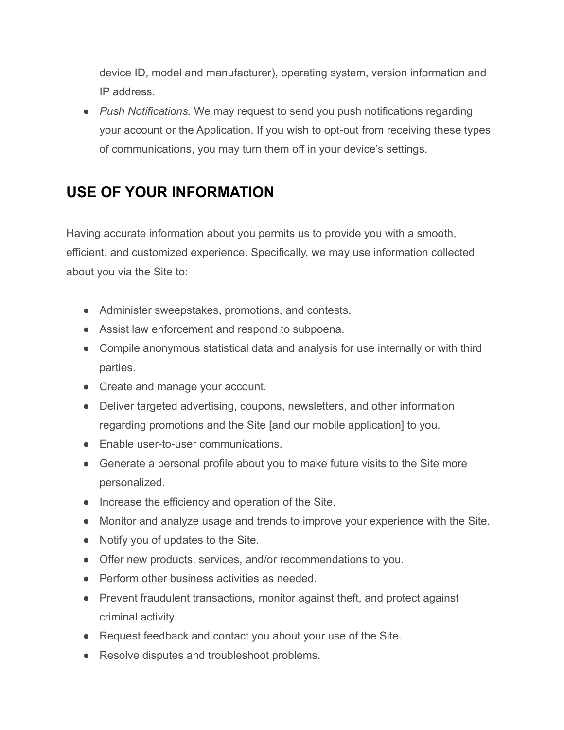device ID, model and manufacturer), operating system, version information and IP address.

● *Push Notifications.* We may request to send you push notifications regarding your account or the Application. If you wish to opt-out from receiving these types of communications, you may turn them off in your device's settings.

# **USE OF YOUR INFORMATION**

Having accurate information about you permits us to provide you with a smooth, efficient, and customized experience. Specifically, we may use information collected about you via the Site to:

- Administer sweepstakes, promotions, and contests.
- Assist law enforcement and respond to subpoena.
- Compile anonymous statistical data and analysis for use internally or with third parties.
- Create and manage your account.
- Deliver targeted advertising, coupons, newsletters, and other information regarding promotions and the Site [and our mobile application] to you.
- Enable user-to-user communications.
- Generate a personal profile about you to make future visits to the Site more personalized.
- Increase the efficiency and operation of the Site.
- Monitor and analyze usage and trends to improve your experience with the Site.
- Notify you of updates to the Site.
- Offer new products, services, and/or recommendations to you.
- Perform other business activities as needed.
- Prevent fraudulent transactions, monitor against theft, and protect against criminal activity.
- Request feedback and contact you about your use of the Site.
- Resolve disputes and troubleshoot problems.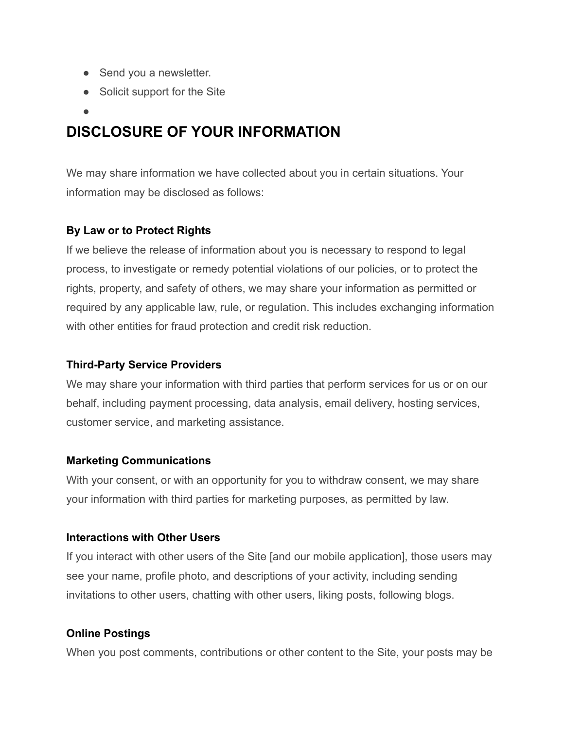- Send you a newsletter.
- Solicit support for the Site
- ●

## **DISCLOSURE OF YOUR INFORMATION**

We may share information we have collected about you in certain situations. Your information may be disclosed as follows:

## **By Law or to Protect Rights**

If we believe the release of information about you is necessary to respond to legal process, to investigate or remedy potential violations of our policies, or to protect the rights, property, and safety of others, we may share your information as permitted or required by any applicable law, rule, or regulation. This includes exchanging information with other entities for fraud protection and credit risk reduction.

### **Third-Party Service Providers**

We may share your information with third parties that perform services for us or on our behalf, including payment processing, data analysis, email delivery, hosting services, customer service, and marketing assistance.

#### **Marketing Communications**

With your consent, or with an opportunity for you to withdraw consent, we may share your information with third parties for marketing purposes, as permitted by law.

#### **Interactions with Other Users**

If you interact with other users of the Site [and our mobile application], those users may see your name, profile photo, and descriptions of your activity, including sending invitations to other users, chatting with other users, liking posts, following blogs.

#### **Online Postings**

When you post comments, contributions or other content to the Site, your posts may be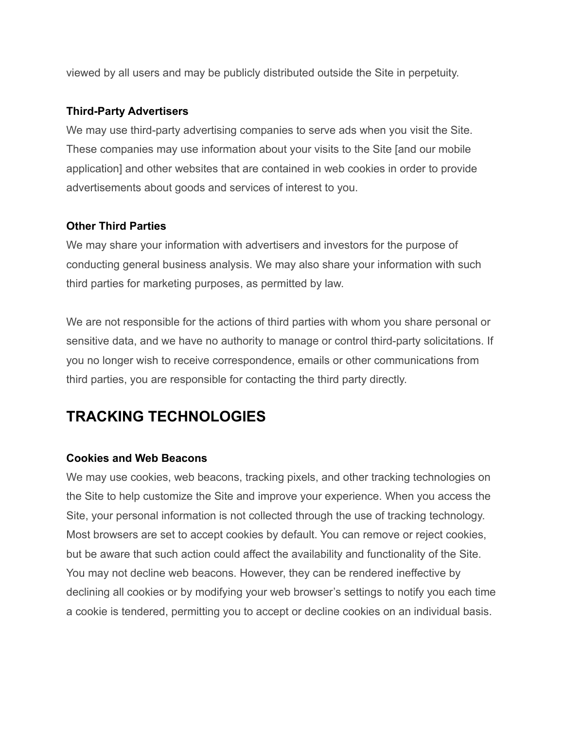viewed by all users and may be publicly distributed outside the Site in perpetuity.

#### **Third-Party Advertisers**

We may use third-party advertising companies to serve ads when you visit the Site. These companies may use information about your visits to the Site [and our mobile application] and other websites that are contained in web cookies in order to provide advertisements about goods and services of interest to you.

#### **Other Third Parties**

We may share your information with advertisers and investors for the purpose of conducting general business analysis. We may also share your information with such third parties for marketing purposes, as permitted by law.

We are not responsible for the actions of third parties with whom you share personal or sensitive data, and we have no authority to manage or control third-party solicitations. If you no longer wish to receive correspondence, emails or other communications from third parties, you are responsible for contacting the third party directly.

# **TRACKING TECHNOLOGIES**

#### **Cookies and Web Beacons**

We may use cookies, web beacons, tracking pixels, and other tracking technologies on the Site to help customize the Site and improve your experience. When you access the Site, your personal information is not collected through the use of tracking technology. Most browsers are set to accept cookies by default. You can remove or reject cookies, but be aware that such action could affect the availability and functionality of the Site. You may not decline web beacons. However, they can be rendered ineffective by declining all cookies or by modifying your web browser's settings to notify you each time a cookie is tendered, permitting you to accept or decline cookies on an individual basis.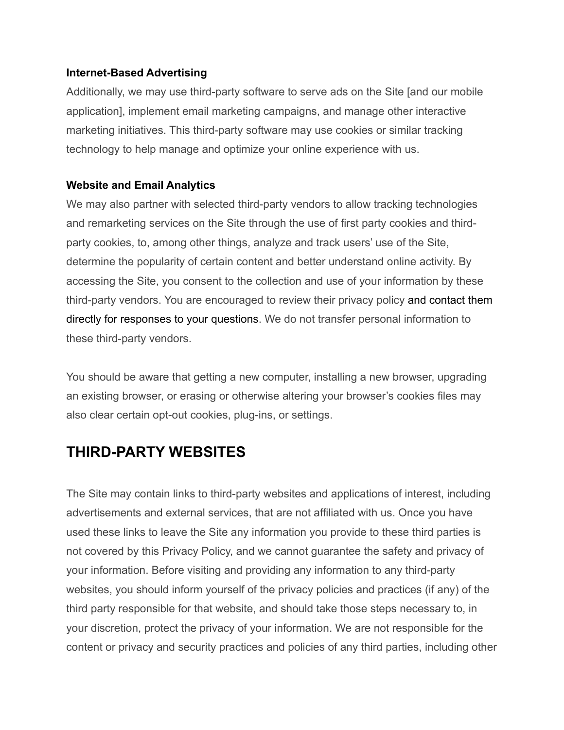#### **Internet-Based Advertising**

Additionally, we may use third-party software to serve ads on the Site [and our mobile application], implement email marketing campaigns, and manage other interactive marketing initiatives. This third-party software may use cookies or similar tracking technology to help manage and optimize your online experience with us.

## **Website and Email Analytics**

We may also partner with selected third-party vendors to allow tracking technologies and remarketing services on the Site through the use of first party cookies and thirdparty cookies, to, among other things, analyze and track users' use of the Site, determine the popularity of certain content and better understand online activity. By accessing the Site, you consent to the collection and use of your information by these third-party vendors. You are encouraged to review their privacy policy and contact them directly for responses to your questions. We do not transfer personal information to these third-party vendors.

You should be aware that getting a new computer, installing a new browser, upgrading an existing browser, or erasing or otherwise altering your browser's cookies files may also clear certain opt-out cookies, plug-ins, or settings.

# **THIRD-PARTY WEBSITES**

The Site may contain links to third-party websites and applications of interest, including advertisements and external services, that are not affiliated with us. Once you have used these links to leave the Site any information you provide to these third parties is not covered by this Privacy Policy, and we cannot guarantee the safety and privacy of your information. Before visiting and providing any information to any third-party websites, you should inform yourself of the privacy policies and practices (if any) of the third party responsible for that website, and should take those steps necessary to, in your discretion, protect the privacy of your information. We are not responsible for the content or privacy and security practices and policies of any third parties, including other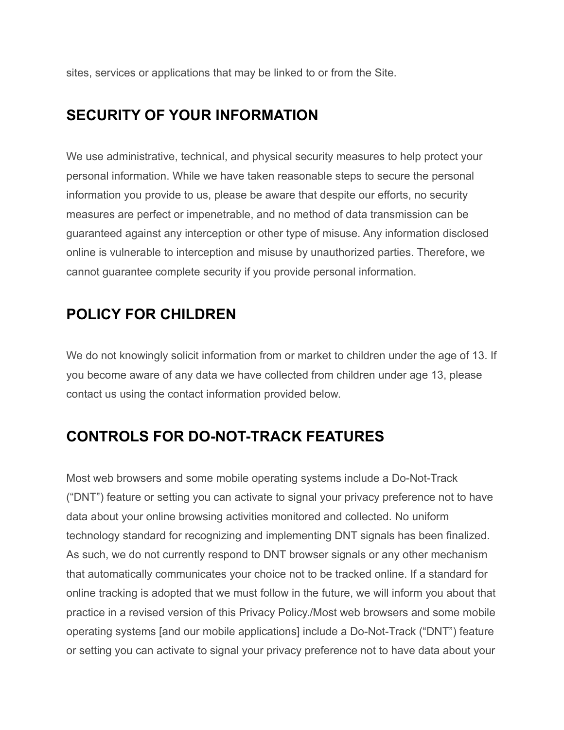sites, services or applications that may be linked to or from the Site.

## **SECURITY OF YOUR INFORMATION**

We use administrative, technical, and physical security measures to help protect your personal information. While we have taken reasonable steps to secure the personal information you provide to us, please be aware that despite our efforts, no security measures are perfect or impenetrable, and no method of data transmission can be guaranteed against any interception or other type of misuse. Any information disclosed online is vulnerable to interception and misuse by unauthorized parties. Therefore, we cannot guarantee complete security if you provide personal information.

## **POLICY FOR CHILDREN**

We do not knowingly solicit information from or market to children under the age of 13. If you become aware of any data we have collected from children under age 13, please contact us using the contact information provided below.

# **CONTROLS FOR DO-NOT-TRACK FEATURES**

Most web browsers and some mobile operating systems include a Do-Not-Track ("DNT") feature or setting you can activate to signal your privacy preference not to have data about your online browsing activities monitored and collected. No uniform technology standard for recognizing and implementing DNT signals has been finalized. As such, we do not currently respond to DNT browser signals or any other mechanism that automatically communicates your choice not to be tracked online. If a standard for online tracking is adopted that we must follow in the future, we will inform you about that practice in a revised version of this Privacy Policy./Most web browsers and some mobile operating systems [and our mobile applications] include a Do-Not-Track ("DNT") feature or setting you can activate to signal your privacy preference not to have data about your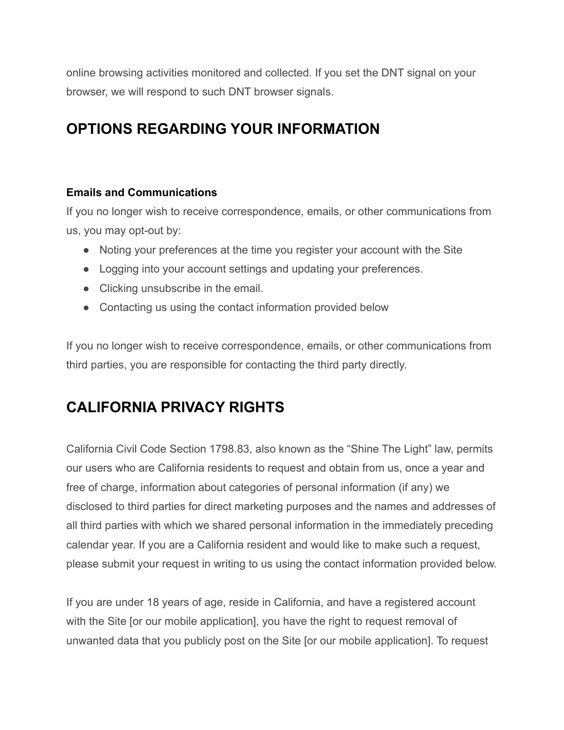online browsing activities monitored and collected. If you set the DNT signal on your browser, we will respond to such DNT browser signals.

# **OPTIONS REGARDING YOUR INFORMATION**

## **Emails and Communications**

If you no longer wish to receive correspondence, emails, or other communications from us, you may opt-out by:

- Noting your preferences at the time you register your account with the Site
- Logging into your account settings and updating your preferences.
- Clicking unsubscribe in the email.
- Contacting us using the contact information provided below

If you no longer wish to receive correspondence, emails, or other communications from third parties, you are responsible for contacting the third party directly.

# **CALIFORNIA PRIVACY RIGHTS**

California Civil Code Section 1798.83, also known as the "Shine The Light" law, permits our users who are California residents to request and obtain from us, once a year and free of charge, information about categories of personal information (if any) we disclosed to third parties for direct marketing purposes and the names and addresses of all third parties with which we shared personal information in the immediately preceding calendar year. If you are a California resident and would like to make such a request, please submit your request in writing to us using the contact information provided below.

If you are under 18 years of age, reside in California, and have a registered account with the Site [or our mobile application], you have the right to request removal of unwanted data that you publicly post on the Site [or our mobile application]. To request